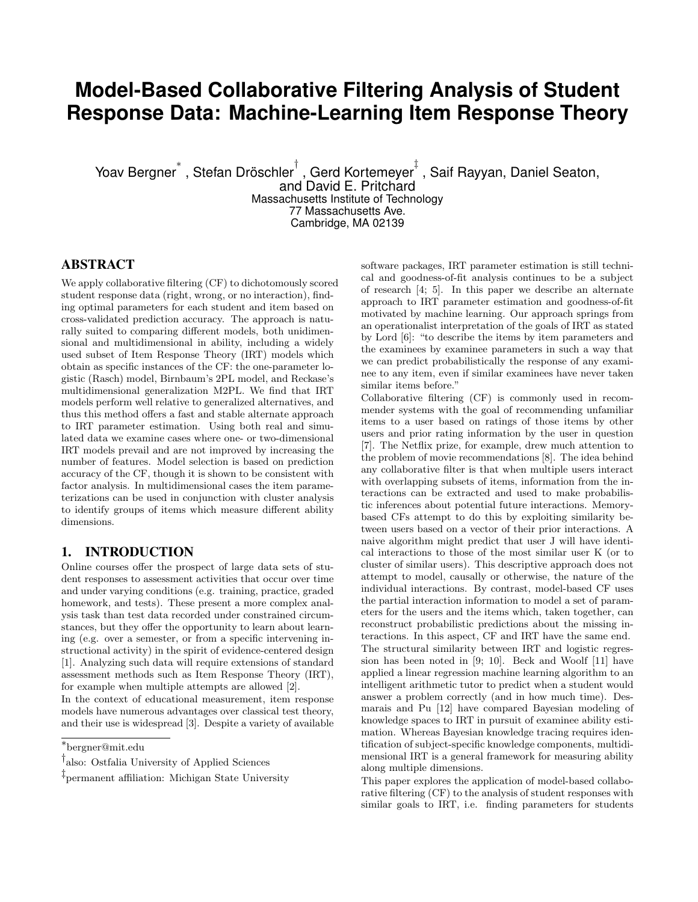# **Model-Based Collaborative Filtering Analysis of Student Response Data: Machine-Learning Item Response Theory**

Yoav Bergner $^*$  , Stefan Dröschler $^\dagger$  , Gerd Kortemeyer $^\ddagger$  , Saif Rayyan, Daniel Seaton,

and David E. Pritchard Massachusetts Institute of Technology 77 Massachusetts Ave. Cambridge, MA 02139

# ABSTRACT

We apply collaborative filtering (CF) to dichotomously scored student response data (right, wrong, or no interaction), finding optimal parameters for each student and item based on cross-validated prediction accuracy. The approach is naturally suited to comparing different models, both unidimensional and multidimensional in ability, including a widely used subset of Item Response Theory (IRT) models which obtain as specific instances of the CF: the one-parameter logistic (Rasch) model, Birnbaum's 2PL model, and Reckase's multidimensional generalization M2PL. We find that IRT models perform well relative to generalized alternatives, and thus this method offers a fast and stable alternate approach to IRT parameter estimation. Using both real and simulated data we examine cases where one- or two-dimensional IRT models prevail and are not improved by increasing the number of features. Model selection is based on prediction accuracy of the CF, though it is shown to be consistent with factor analysis. In multidimensional cases the item parameterizations can be used in conjunction with cluster analysis to identify groups of items which measure different ability dimensions.

# 1. INTRODUCTION

Online courses offer the prospect of large data sets of student responses to assessment activities that occur over time and under varying conditions (e.g. training, practice, graded homework, and tests). These present a more complex analysis task than test data recorded under constrained circumstances, but they offer the opportunity to learn about learning (e.g. over a semester, or from a specific intervening instructional activity) in the spirit of evidence-centered design [1]. Analyzing such data will require extensions of standard assessment methods such as Item Response Theory (IRT), for example when multiple attempts are allowed [2].

In the context of educational measurement, item response models have numerous advantages over classical test theory, and their use is widespread [3]. Despite a variety of available software packages, IRT parameter estimation is still technical and goodness-of-fit analysis continues to be a subject of research [4; 5]. In this paper we describe an alternate approach to IRT parameter estimation and goodness-of-fit motivated by machine learning. Our approach springs from an operationalist interpretation of the goals of IRT as stated by Lord [6]: "to describe the items by item parameters and the examinees by examinee parameters in such a way that we can predict probabilistically the response of any examinee to any item, even if similar examinees have never taken similar items before."

Collaborative filtering (CF) is commonly used in recommender systems with the goal of recommending unfamiliar items to a user based on ratings of those items by other users and prior rating information by the user in question [7]. The Netflix prize, for example, drew much attention to the problem of movie recommendations [8]. The idea behind any collaborative filter is that when multiple users interact with overlapping subsets of items, information from the interactions can be extracted and used to make probabilistic inferences about potential future interactions. Memorybased CFs attempt to do this by exploiting similarity between users based on a vector of their prior interactions. A naive algorithm might predict that user J will have identical interactions to those of the most similar user K (or to cluster of similar users). This descriptive approach does not attempt to model, causally or otherwise, the nature of the individual interactions. By contrast, model-based CF uses the partial interaction information to model a set of parameters for the users and the items which, taken together, can reconstruct probabilistic predictions about the missing interactions. In this aspect, CF and IRT have the same end. The structural similarity between IRT and logistic regression has been noted in [9; 10]. Beck and Woolf [11] have applied a linear regression machine learning algorithm to an intelligent arithmetic tutor to predict when a student would answer a problem correctly (and in how much time). Desmarais and Pu [12] have compared Bayesian modeling of knowledge spaces to IRT in pursuit of examinee ability estimation. Whereas Bayesian knowledge tracing requires identification of subject-specific knowledge components, multidimensional IRT is a general framework for measuring ability along multiple dimensions.

This paper explores the application of model-based collaborative filtering (CF) to the analysis of student responses with similar goals to IRT, i.e. finding parameters for students

<sup>∗</sup> bergner@mit.edu

<sup>†</sup> also: Ostfalia University of Applied Sciences

<sup>‡</sup> permanent affiliation: Michigan State University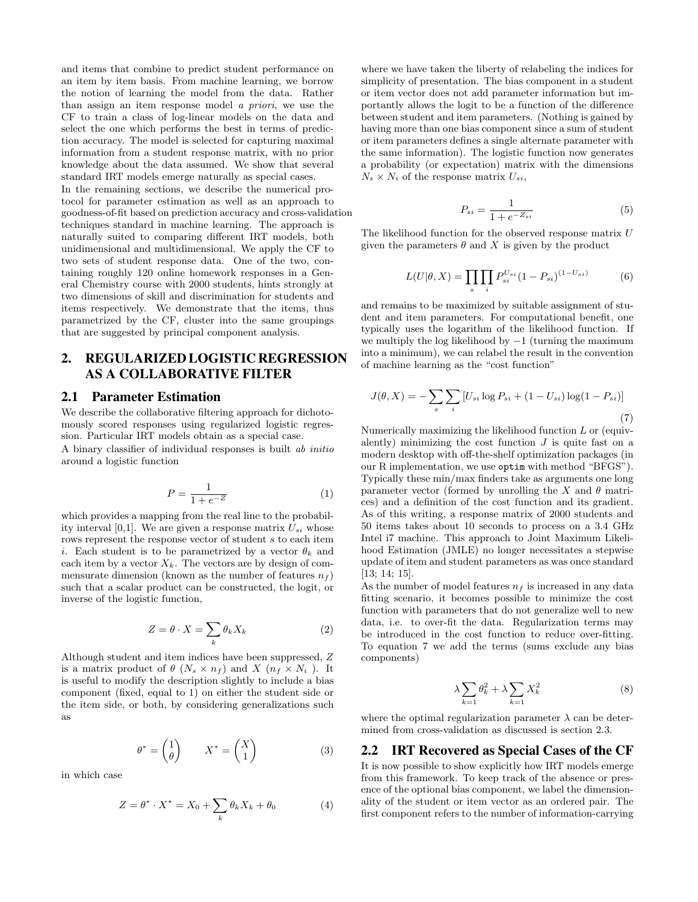and items that combine to predict student performance on an item by item basis. From machine learning, we borrow the notion of learning the model from the data. Rather than assign an item response model a priori, we use the CF to train a class of log-linear models on the data and select the one which performs the best in terms of prediction accuracy. The model is selected for capturing maximal information from a student response matrix, with no prior knowledge about the data assumed. We show that several standard IRT models emerge naturally as special cases. In the remaining sections, we describe the numerical protocol for parameter estimation as well as an approach to goodness-of-fit based on prediction accuracy and cross-validation techniques standard in machine learning. The approach is naturally suited to comparing different IRT models, both unidimensional and multidimensional. We apply the CF to two sets of student response data. One of the two, containing roughly 120 online homework responses in a General Chemistry course with 2000 students, hints strongly at two dimensions of skill and discrimination for students and items respectively. We demonstrate that the items, thus parametrized by the CF, cluster into the same groupings that are suggested by principal component analysis.

# 2. REGULARIZED LOGISTIC REGRESSION AS A COLLABORATIVE FILTER

#### 2.1 Parameter Estimation

We describe the collaborative filtering approach for dichotomously scored responses using regularized logistic regression. Particular IRT models obtain as a special case.

A binary classifier of individual responses is built ab initio around a logistic function

$$
P = \frac{1}{1 + e^{-Z}}\tag{1}
$$

which provides a mapping from the real line to the probability interval [0,1]. We are given a response matrix  $U_{si}$  whose rows represent the response vector of student s to each item i. Each student is to be parametrized by a vector  $\theta_k$  and each item by a vector  $X_k$ . The vectors are by design of commensurate dimension (known as the number of features  $n_f$ ) such that a scalar product can be constructed, the logit, or inverse of the logistic function,

$$
Z = \theta \cdot X = \sum_{k} \theta_k X_k \tag{2}
$$

Although student and item indices have been suppressed, Z is a matrix product of  $\theta$  ( $N_s \times n_f$ ) and  $X$  ( $n_f \times N_i$ ). It is useful to modify the description slightly to include a bias component (fixed, equal to 1) on either the student side or the item side, or both, by considering generalizations such as

$$
\theta^* = \begin{pmatrix} 1 \\ \theta \end{pmatrix} \qquad X^* = \begin{pmatrix} X \\ 1 \end{pmatrix} \tag{3}
$$

in which case

$$
Z = \theta^* \cdot X^* = X_0 + \sum_k \theta_k X_k + \theta_0 \tag{4}
$$

where we have taken the liberty of relabeling the indices for simplicity of presentation. The bias component in a student or item vector does not add parameter information but importantly allows the logit to be a function of the difference between student and item parameters. (Nothing is gained by having more than one bias component since a sum of student or item parameters defines a single alternate parameter with the same information). The logistic function now generates a probability (or expectation) matrix with the dimensions  $N_s \times N_i$  of the response matrix  $U_{si}$ ,

$$
P_{si} = \frac{1}{1 + e^{-Z_{si}}} \tag{5}
$$

The likelihood function for the observed response matrix U given the parameters  $\theta$  and X is given by the product

$$
L(U|\theta, X) = \prod_{s} \prod_{i} P_{si}^{U_{si}} (1 - P_{si})^{(1 - U_{si})}
$$
(6)

and remains to be maximized by suitable assignment of student and item parameters. For computational benefit, one typically uses the logarithm of the likelihood function. If we multiply the log likelihood by  $-1$  (turning the maximum into a minimum), we can relabel the result in the convention of machine learning as the "cost function"

$$
J(\theta, X) = -\sum_{s} \sum_{i} [U_{si} \log P_{si} + (1 - U_{si}) \log(1 - P_{si})]
$$
\n(7)

Numerically maximizing the likelihood function  $L$  or (equivalently) minimizing the cost function  $J$  is quite fast on a modern desktop with off-the-shelf optimization packages (in our R implementation, we use optim with method "BFGS"). Typically these min/max finders take as arguments one long parameter vector (formed by unrolling the X and  $\theta$  matrices) and a definition of the cost function and its gradient. As of this writing, a response matrix of 2000 students and 50 items takes about 10 seconds to process on a 3.4 GHz Intel i7 machine. This approach to Joint Maximum Likelihood Estimation (JMLE) no longer necessitates a stepwise update of item and student parameters as was once standard [13; 14; 15].

As the number of model features  $n_f$  is increased in any data fitting scenario, it becomes possible to minimize the cost function with parameters that do not generalize well to new data, i.e. to over-fit the data. Regularization terms may be introduced in the cost function to reduce over-fitting. To equation 7 we add the terms (sums exclude any bias components)

$$
\lambda \sum_{k=1} \theta_k^2 + \lambda \sum_{k=1} X_k^2 \tag{8}
$$

where the optimal regularization parameter  $\lambda$  can be determined from cross-validation as discussed is section 2.3.

#### 2.2 IRT Recovered as Special Cases of the CF

It is now possible to show explicitly how IRT models emerge from this framework. To keep track of the absence or presence of the optional bias component, we label the dimensionality of the student or item vector as an ordered pair. The first component refers to the number of information-carrying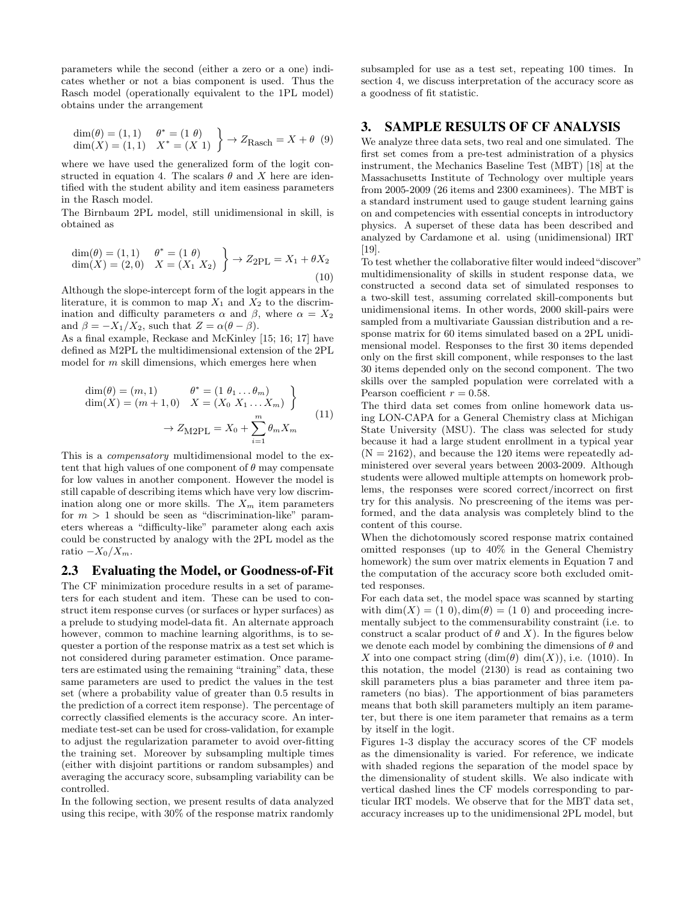parameters while the second (either a zero or a one) indicates whether or not a bias component is used. Thus the Rasch model (operationally equivalent to the 1PL model) obtains under the arrangement

$$
\dim(\theta) = (1, 1) \quad \theta^* = (1 \theta) \n\dim(X) = (1, 1) \quad X^* = (X \ 1) \quad \end{cases} \rightarrow Z_{\text{Rasch}} = X + \theta \quad (9)
$$

where we have used the generalized form of the logit constructed in equation 4. The scalars  $\theta$  and X here are identified with the student ability and item easiness parameters in the Rasch model.

The Birnbaum 2PL model, still unidimensional in skill, is obtained as

$$
\dim(\theta) = (1, 1) \quad \theta^* = (1 \ \theta) \n\dim(X) = (2, 0) \quad X = (X_1 \ X_2) \quad \Rightarrow Z_{2PL} = X_1 + \theta X_2 \n(10)
$$

Although the slope-intercept form of the logit appears in the literature, it is common to map  $X_1$  and  $X_2$  to the discrimination and difficulty parameters  $\alpha$  and  $\beta$ , where  $\alpha = X_2$ and  $\beta = -X_1/X_2$ , such that  $Z = \alpha(\theta - \beta)$ .

As a final example, Reckase and McKinley [15; 16; 17] have defined as M2PL the multidimensional extension of the 2PL model for  $m$  skill dimensions, which emerges here when

$$
\dim(\theta) = (m, 1) \qquad \theta^* = (1 \ \theta_1 \dots \theta_m)
$$
  
\n
$$
\dim(X) = (m + 1, 0) \quad X = (X_0 \ X_1 \dots X_m)
$$
  
\n
$$
\rightarrow Z_{\text{M2PL}} = X_0 + \sum_{i=1}^m \theta_m X_m
$$
\n(11)

This is a compensatory multidimensional model to the extent that high values of one component of  $\theta$  may compensate for low values in another component. However the model is still capable of describing items which have very low discrimination along one or more skills. The  $X_m$  item parameters for  $m > 1$  should be seen as "discrimination-like" parameters whereas a "difficulty-like" parameter along each axis could be constructed by analogy with the 2PL model as the ratio  $-X_0/X_m$ .

### 2.3 Evaluating the Model, or Goodness-of-Fit

The CF minimization procedure results in a set of parameters for each student and item. These can be used to construct item response curves (or surfaces or hyper surfaces) as a prelude to studying model-data fit. An alternate approach however, common to machine learning algorithms, is to sequester a portion of the response matrix as a test set which is not considered during parameter estimation. Once parameters are estimated using the remaining "training" data, these same parameters are used to predict the values in the test set (where a probability value of greater than 0.5 results in the prediction of a correct item response). The percentage of correctly classified elements is the accuracy score. An intermediate test-set can be used for cross-validation, for example to adjust the regularization parameter to avoid over-fitting the training set. Moreover by subsampling multiple times (either with disjoint partitions or random subsamples) and averaging the accuracy score, subsampling variability can be controlled.

In the following section, we present results of data analyzed using this recipe, with 30% of the response matrix randomly subsampled for use as a test set, repeating 100 times. In section 4, we discuss interpretation of the accuracy score as a goodness of fit statistic.

# 3. SAMPLE RESULTS OF CF ANALYSIS

We analyze three data sets, two real and one simulated. The first set comes from a pre-test administration of a physics instrument, the Mechanics Baseline Test (MBT) [18] at the Massachusetts Institute of Technology over multiple years from 2005-2009 (26 items and 2300 examinees). The MBT is a standard instrument used to gauge student learning gains on and competencies with essential concepts in introductory physics. A superset of these data has been described and analyzed by Cardamone et al. using (unidimensional) IRT [19].

To test whether the collaborative filter would indeed"discover" multidimensionality of skills in student response data, we constructed a second data set of simulated responses to a two-skill test, assuming correlated skill-components but unidimensional items. In other words, 2000 skill-pairs were sampled from a multivariate Gaussian distribution and a response matrix for 60 items simulated based on a 2PL unidimensional model. Responses to the first 30 items depended only on the first skill component, while responses to the last 30 items depended only on the second component. The two skills over the sampled population were correlated with a Pearson coefficient  $r = 0.58$ .

The third data set comes from online homework data using LON-CAPA for a General Chemistry class at Michigan State University (MSU). The class was selected for study because it had a large student enrollment in a typical year  $(N = 2162)$ , and because the 120 items were repeatedly administered over several years between 2003-2009. Although students were allowed multiple attempts on homework problems, the responses were scored correct/incorrect on first try for this analysis. No prescreening of the items was performed, and the data analysis was completely blind to the content of this course.

When the dichotomously scored response matrix contained omitted responses (up to 40% in the General Chemistry homework) the sum over matrix elements in Equation 7 and the computation of the accuracy score both excluded omitted responses.

For each data set, the model space was scanned by starting with dim $(X) = (1\ 0)$ , dim $(\theta) = (1\ 0)$  and proceeding incrementally subject to the commensurability constraint (i.e. to construct a scalar product of  $\theta$  and X). In the figures below we denote each model by combining the dimensions of  $\theta$  and X into one compact string  $(\dim(\theta) \dim(X))$ , i.e. (1010). In this notation, the model (2130) is read as containing two skill parameters plus a bias parameter and three item parameters (no bias). The apportionment of bias parameters means that both skill parameters multiply an item parameter, but there is one item parameter that remains as a term by itself in the logit.

Figures 1-3 display the accuracy scores of the CF models as the dimensionality is varied. For reference, we indicate with shaded regions the separation of the model space by the dimensionality of student skills. We also indicate with vertical dashed lines the CF models corresponding to particular IRT models. We observe that for the MBT data set, accuracy increases up to the unidimensional 2PL model, but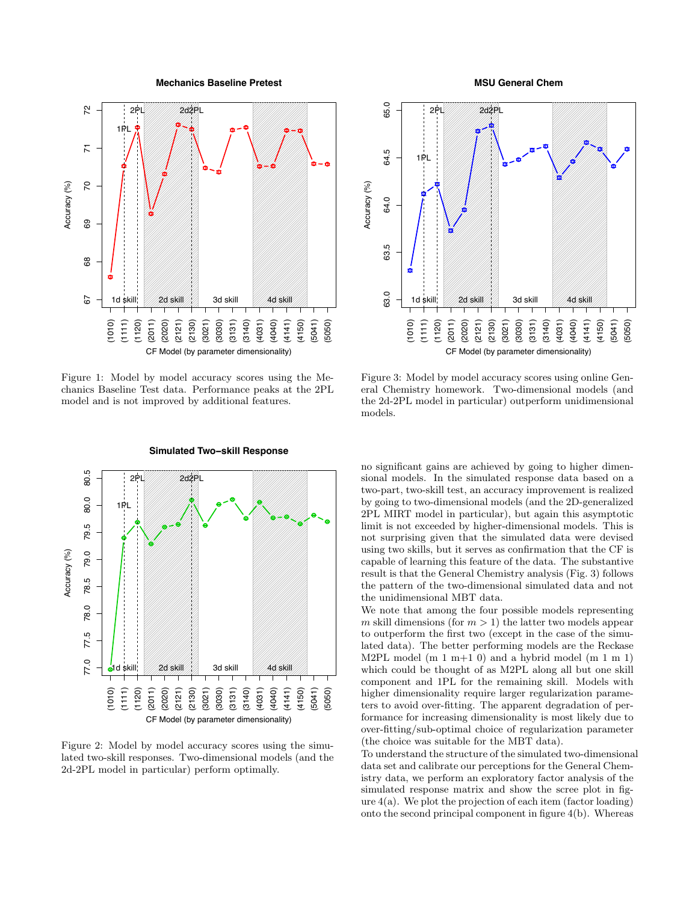**Mechanics Baseline Pretest**



Figure 1: Model by model accuracy scores using the Mechanics Baseline Test data. Performance peaks at the 2PL model and is not improved by additional features.



**Simulated Two−skill Response**

Figure 2: Model by model accuracy scores using the simulated two-skill responses. Two-dimensional models (and the 2d-2PL model in particular) perform optimally.

#### **MSU General Chem**



Figure 3: Model by model accuracy scores using online General Chemistry homework. Two-dimensional models (and the 2d-2PL model in particular) outperform unidimensional models.

no significant gains are achieved by going to higher dimensional models. In the simulated response data based on a two-part, two-skill test, an accuracy improvement is realized by going to two-dimensional models (and the 2D-generalized 2PL MIRT model in particular), but again this asymptotic limit is not exceeded by higher-dimensional models. This is not surprising given that the simulated data were devised using two skills, but it serves as confirmation that the CF is capable of learning this feature of the data. The substantive result is that the General Chemistry analysis (Fig. 3) follows the pattern of the two-dimensional simulated data and not the unidimensional MBT data.

We note that among the four possible models representing m skill dimensions (for  $m > 1$ ) the latter two models appear to outperform the first two (except in the case of the simulated data). The better performing models are the Reckase M2PL model  $(m 1 m+1 0)$  and a hybrid model  $(m 1 m 1)$ which could be thought of as M2PL along all but one skill component and 1PL for the remaining skill. Models with higher dimensionality require larger regularization parameters to avoid over-fitting. The apparent degradation of performance for increasing dimensionality is most likely due to over-fitting/sub-optimal choice of regularization parameter (the choice was suitable for the MBT data).

To understand the structure of the simulated two-dimensional data set and calibrate our perceptions for the General Chemistry data, we perform an exploratory factor analysis of the simulated response matrix and show the scree plot in figure  $4(a)$ . We plot the projection of each item (factor loading) onto the second principal component in figure 4(b). Whereas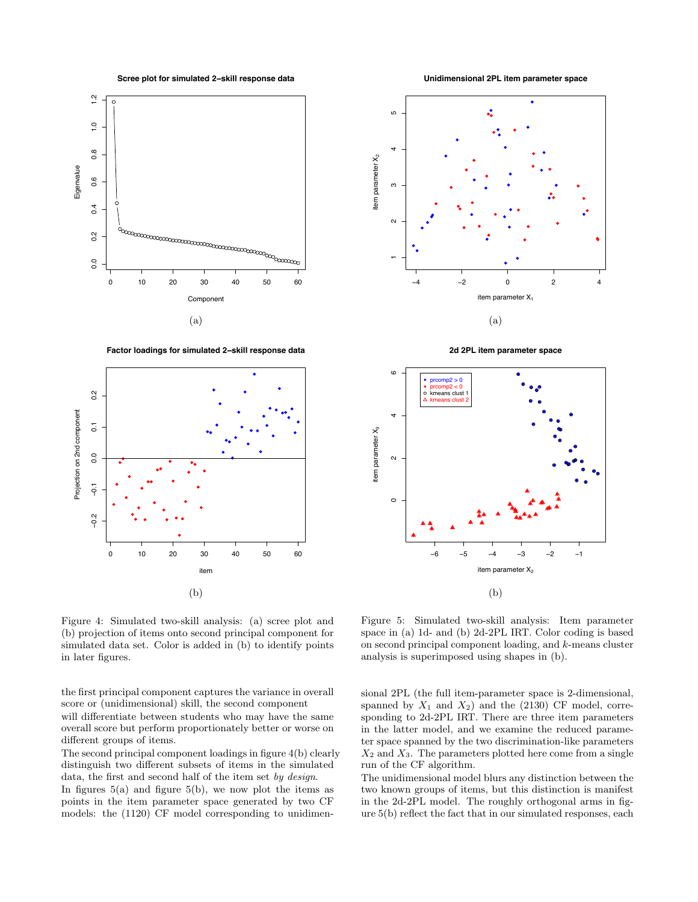**Scree plot for simulated 2−skill response data**



**Factor loadings for simulated 2−skill response data**



**Unidimensional 2PL item parameter space**



**2d 2PL item parameter space**



Figure 4: Simulated two-skill analysis: (a) scree plot and (b) projection of items onto second principal component for simulated data set. Color is added in (b) to identify points in later figures.

the first principal component captures the variance in overall score or (unidimensional) skill, the second component will differentiate between students who may have the same overall score but perform proportionately better or worse on different groups of items.

The second principal component loadings in figure 4(b) clearly distinguish two different subsets of items in the simulated data, the first and second half of the item set by design. In figures  $5(a)$  and figure  $5(b)$ , we now plot the items as points in the item parameter space generated by two CF models: the (1120) CF model corresponding to unidimen-

Figure 5: Simulated two-skill analysis: Item parameter space in (a) 1d- and (b) 2d-2PL IRT. Color coding is based on second principal component loading, and k-means cluster analysis is superimposed using shapes in (b).

sional 2PL (the full item-parameter space is 2-dimensional, spanned by  $X_1$  and  $X_2$ ) and the (2130) CF model, corresponding to 2d-2PL IRT. There are three item parameters in the latter model, and we examine the reduced parameter space spanned by the two discrimination-like parameters  $X_2$  and  $X_3$ . The parameters plotted here come from a single run of the CF algorithm.

The unidimensional model blurs any distinction between the two known groups of items, but this distinction is manifest in the 2d-2PL model. The roughly orthogonal arms in figure 5(b) reflect the fact that in our simulated responses, each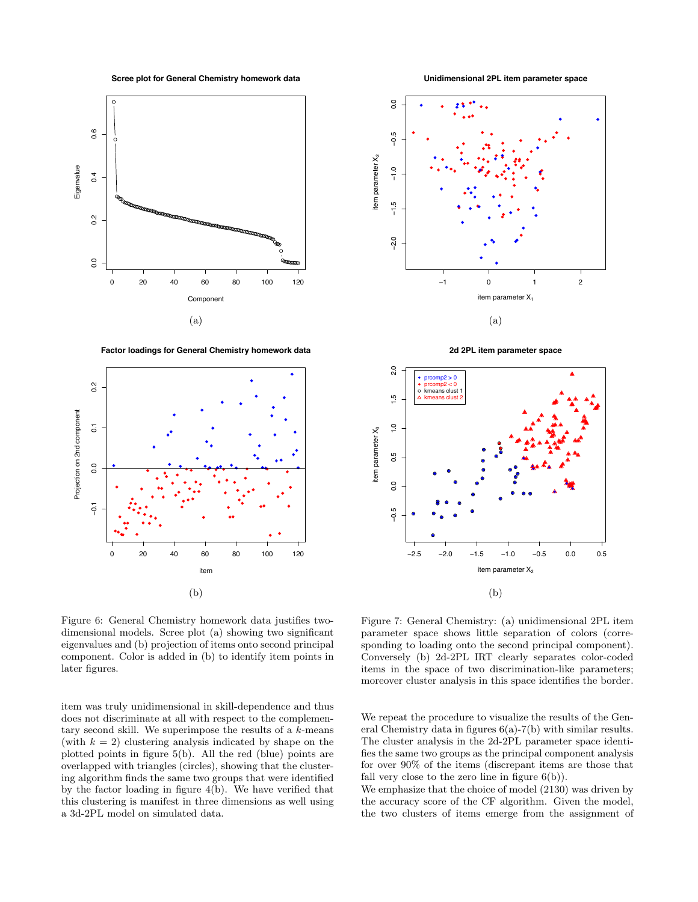**Scree plot for General Chemistry homework data**

**Unidimensional 2PL item parameter space**



**Factor loadings for General Chemistry homework data**





**2d 2PL item parameter space**



Figure 6: General Chemistry homework data justifies twodimensional models. Scree plot (a) showing two significant eigenvalues and (b) projection of items onto second principal component. Color is added in (b) to identify item points in later figures.

item was truly unidimensional in skill-dependence and thus does not discriminate at all with respect to the complementary second skill. We superimpose the results of a  $k$ -means (with  $k = 2$ ) clustering analysis indicated by shape on the plotted points in figure 5(b). All the red (blue) points are overlapped with triangles (circles), showing that the clustering algorithm finds the same two groups that were identified by the factor loading in figure 4(b). We have verified that this clustering is manifest in three dimensions as well using a 3d-2PL model on simulated data.

Figure 7: General Chemistry: (a) unidimensional 2PL item parameter space shows little separation of colors (corresponding to loading onto the second principal component). Conversely (b) 2d-2PL IRT clearly separates color-coded items in the space of two discrimination-like parameters; moreover cluster analysis in this space identifies the border.

We repeat the procedure to visualize the results of the General Chemistry data in figures 6(a)-7(b) with similar results. The cluster analysis in the 2d-2PL parameter space identifies the same two groups as the principal component analysis for over 90% of the items (discrepant items are those that fall very close to the zero line in figure  $6(b)$ ).

We emphasize that the choice of model (2130) was driven by the accuracy score of the CF algorithm. Given the model, the two clusters of items emerge from the assignment of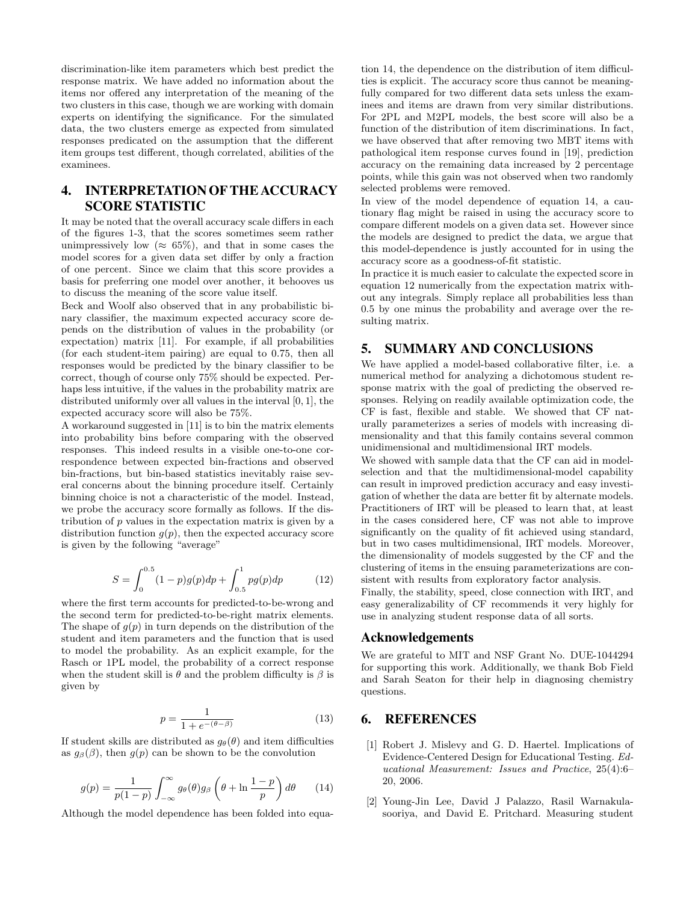discrimination-like item parameters which best predict the response matrix. We have added no information about the items nor offered any interpretation of the meaning of the two clusters in this case, though we are working with domain experts on identifying the significance. For the simulated data, the two clusters emerge as expected from simulated responses predicated on the assumption that the different item groups test different, though correlated, abilities of the examinees.

# 4. INTERPRETATION OF THE ACCURACY SCORE STATISTIC

It may be noted that the overall accuracy scale differs in each of the figures 1-3, that the scores sometimes seem rather unimpressively low ( $\approx 65\%$ ), and that in some cases the model scores for a given data set differ by only a fraction of one percent. Since we claim that this score provides a basis for preferring one model over another, it behooves us to discuss the meaning of the score value itself.

Beck and Woolf also observed that in any probabilistic binary classifier, the maximum expected accuracy score depends on the distribution of values in the probability (or expectation) matrix [11]. For example, if all probabilities (for each student-item pairing) are equal to 0.75, then all responses would be predicted by the binary classifier to be correct, though of course only 75% should be expected. Perhaps less intuitive, if the values in the probability matrix are distributed uniformly over all values in the interval [0, 1], the expected accuracy score will also be 75%.

A workaround suggested in [11] is to bin the matrix elements into probability bins before comparing with the observed responses. This indeed results in a visible one-to-one correspondence between expected bin-fractions and observed bin-fractions, but bin-based statistics inevitably raise several concerns about the binning procedure itself. Certainly binning choice is not a characteristic of the model. Instead, we probe the accuracy score formally as follows. If the distribution of  $p$  values in the expectation matrix is given by a distribution function  $g(p)$ , then the expected accuracy score is given by the following "average"

$$
S = \int_0^{0.5} (1 - p)g(p)dp + \int_{0.5}^1 pg(p)dp \tag{12}
$$

where the first term accounts for predicted-to-be-wrong and the second term for predicted-to-be-right matrix elements. The shape of  $g(p)$  in turn depends on the distribution of the student and item parameters and the function that is used to model the probability. As an explicit example, for the Rasch or 1PL model, the probability of a correct response when the student skill is  $\theta$  and the problem difficulty is  $\beta$  is given by

$$
p = \frac{1}{1 + e^{-(\theta - \beta)}}
$$
(13)

If student skills are distributed as  $g_{\theta}(\theta)$  and item difficulties as  $g_{\beta}(\beta)$ , then  $g(p)$  can be shown to be the convolution

$$
g(p) = \frac{1}{p(1-p)} \int_{-\infty}^{\infty} g_{\theta}(\theta) g_{\beta} \left(\theta + \ln \frac{1-p}{p}\right) d\theta \qquad (14)
$$

Although the model dependence has been folded into equa-

tion 14, the dependence on the distribution of item difficulties is explicit. The accuracy score thus cannot be meaningfully compared for two different data sets unless the examinees and items are drawn from very similar distributions. For 2PL and M2PL models, the best score will also be a function of the distribution of item discriminations. In fact, we have observed that after removing two MBT items with pathological item response curves found in [19], prediction accuracy on the remaining data increased by 2 percentage points, while this gain was not observed when two randomly selected problems were removed.

In view of the model dependence of equation 14, a cautionary flag might be raised in using the accuracy score to compare different models on a given data set. However since the models are designed to predict the data, we argue that this model-dependence is justly accounted for in using the accuracy score as a goodness-of-fit statistic.

In practice it is much easier to calculate the expected score in equation 12 numerically from the expectation matrix without any integrals. Simply replace all probabilities less than 0.5 by one minus the probability and average over the resulting matrix.

### 5. SUMMARY AND CONCLUSIONS

We have applied a model-based collaborative filter, i.e. a numerical method for analyzing a dichotomous student response matrix with the goal of predicting the observed responses. Relying on readily available optimization code, the CF is fast, flexible and stable. We showed that CF naturally parameterizes a series of models with increasing dimensionality and that this family contains several common unidimensional and multidimensional IRT models.

We showed with sample data that the CF can aid in modelselection and that the multidimensional-model capability can result in improved prediction accuracy and easy investigation of whether the data are better fit by alternate models. Practitioners of IRT will be pleased to learn that, at least in the cases considered here, CF was not able to improve significantly on the quality of fit achieved using standard, but in two cases multidimensional, IRT models. Moreover, the dimensionality of models suggested by the CF and the clustering of items in the ensuing parameterizations are consistent with results from exploratory factor analysis.

Finally, the stability, speed, close connection with IRT, and easy generalizability of CF recommends it very highly for use in analyzing student response data of all sorts.

## Acknowledgements

We are grateful to MIT and NSF Grant No. DUE-1044294 for supporting this work. Additionally, we thank Bob Field and Sarah Seaton for their help in diagnosing chemistry questions.

#### 6. REFERENCES

- [1] Robert J. Mislevy and G. D. Haertel. Implications of Evidence-Centered Design for Educational Testing. Educational Measurement: Issues and Practice, 25(4):6– 20, 2006.
- [2] Young-Jin Lee, David J Palazzo, Rasil Warnakulasooriya, and David E. Pritchard. Measuring student